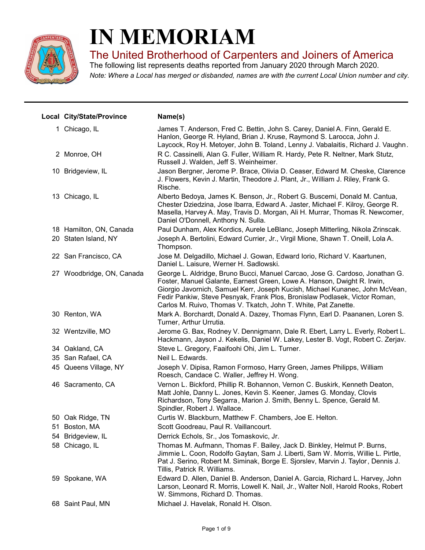

# IN MEMORIAM

The United Brotherhood of Carpenters and Joiners of America

Note: Where a Local has merged or disbanded, names are with the current Local Union number and city. The following list represents deaths reported from January 2020 through March 2020.

| Local City/State/Province | Name(s)                                                                                                                                                                                                                                                                                                                                                                                 |
|---------------------------|-----------------------------------------------------------------------------------------------------------------------------------------------------------------------------------------------------------------------------------------------------------------------------------------------------------------------------------------------------------------------------------------|
| 1 Chicago, IL             | James T. Anderson, Fred C. Bettin, John S. Carey, Daniel A. Finn, Gerald E.<br>Hanlon, George R. Hyland, Brian J. Kruse, Raymond S. Larocca, John J.<br>Laycock, Roy H. Metoyer, John B. Toland, Lenny J. Vabalaitis, Richard J. Vaughn.                                                                                                                                                |
| 2 Monroe, OH              | R C. Cassinelli, Alan G. Fuller, William R. Hardy, Pete R. Neltner, Mark Stutz,<br>Russell J. Walden, Jeff S. Weinheimer.                                                                                                                                                                                                                                                               |
| 10 Bridgeview, IL         | Jason Bergner, Jerome P. Brace, Olivia D. Ceaser, Edward M. Cheske, Clarence<br>J. Flowers, Kevin J. Martin, Theodore J. Plant, Jr., William J. Riley, Frank G.<br>Rische.                                                                                                                                                                                                              |
| 13 Chicago, IL            | Alberto Bedoya, James K. Benson, Jr., Robert G. Buscemi, Donald M. Cantua,<br>Chester Dziedzina, Jose Ibarra, Edward A. Jaster, Michael F. Kilroy, George R.<br>Masella, Harvey A. May, Travis D. Morgan, Ali H. Murrar, Thomas R. Newcomer,<br>Daniel O'Donnell, Anthony N. Sulla.                                                                                                     |
| 18 Hamilton, ON, Canada   | Paul Dunham, Alex Kordics, Aurele LeBlanc, Joseph Mitterling, Nikola Zrinscak.                                                                                                                                                                                                                                                                                                          |
| 20 Staten Island, NY      | Joseph A. Bertolini, Edward Currier, Jr., Virgil Mione, Shawn T. Oneill, Lola A.<br>Thompson.                                                                                                                                                                                                                                                                                           |
| 22 San Francisco, CA      | Jose M. Delgadillo, Michael J. Gowan, Edward Iorio, Richard V. Kaartunen,<br>Daniel L. Laisure, Werner H. Sadlowski.                                                                                                                                                                                                                                                                    |
| 27 Woodbridge, ON, Canada | George L. Aldridge, Bruno Bucci, Manuel Carcao, Jose G. Cardoso, Jonathan G.<br>Foster, Manuel Galante, Earnest Green, Lowe A. Hanson, Dwight R. Irwin,<br>Giorgio Javornich, Samuel Kerr, Joseph Kucish, Michael Kunanec, John McVean,<br>Fedir Pankiw, Steve Pesnyak, Frank Plos, Bronislaw Podlasek, Victor Roman,<br>Carlos M. Ruivo, Thomas V. Tkatch, John T. White, Pat Zanette. |
| 30 Renton, WA             | Mark A. Borchardt, Donald A. Dazey, Thomas Flynn, Earl D. Paananen, Loren S.<br>Turner, Arthur Urrutia.                                                                                                                                                                                                                                                                                 |
| 32 Wentzville, MO         | Jerome G. Bax, Rodney V. Dennigmann, Dale R. Ebert, Larry L. Everly, Robert L.<br>Hackmann, Jayson J. Kekelis, Daniel W. Lakey, Lester B. Vogt, Robert C. Zerjav.                                                                                                                                                                                                                       |
| 34 Oakland, CA            | Steve L. Gregory, Faaifoohi Ohi, Jim L. Turner.                                                                                                                                                                                                                                                                                                                                         |
| 35 San Rafael, CA         | Neil L. Edwards.                                                                                                                                                                                                                                                                                                                                                                        |
| 45 Queens Village, NY     | Joseph V. Dipisa, Ramon Formoso, Harry Green, James Philipps, William<br>Roesch, Candace C. Waller, Jeffrey H. Wong.                                                                                                                                                                                                                                                                    |
| 46 Sacramento, CA         | Vernon L. Bickford, Phillip R. Bohannon, Vernon C. Buskirk, Kenneth Deaton,<br>Matt Johle, Danny L. Jones, Kevin S. Keener, James G. Monday, Clovis<br>Richardson, Tony Segarra, Marion J. Smith, Benny L. Spence, Gerald M.<br>Spindler, Robert J. Wallace.                                                                                                                            |
| 50 Oak Ridge, TN          | Curtis W. Blackburn, Matthew F. Chambers, Joe E. Helton.                                                                                                                                                                                                                                                                                                                                |
| 51 Boston, MA             | Scott Goodreau, Paul R. Vaillancourt.                                                                                                                                                                                                                                                                                                                                                   |
| 54 Bridgeview, IL         | Derrick Echols, Sr., Jos Tomaskovic, Jr.                                                                                                                                                                                                                                                                                                                                                |
| 58 Chicago, IL            | Thomas M. Aufmann, Thomas F. Bailey, Jack D. Binkley, Helmut P. Burns,<br>Jimmie L. Coon, Rodolfo Gaytan, Sam J. Liberti, Sam W. Morris, Willie L. Pirtle,<br>Pat J. Serino, Robert M. Siminak, Borge E. Sjorslev, Marvin J. Taylor, Dennis J.<br>Tillis, Patrick R. Williams.                                                                                                          |
| 59 Spokane, WA            | Edward D. Allen, Daniel B. Anderson, Daniel A. Garcia, Richard L. Harvey, John<br>Larson, Leonard R. Morris, Lowell K. Nail, Jr., Walter Noll, Harold Rooks, Robert<br>W. Simmons, Richard D. Thomas.                                                                                                                                                                                   |
| 68 Saint Paul, MN         | Michael J. Havelak, Ronald H. Olson.                                                                                                                                                                                                                                                                                                                                                    |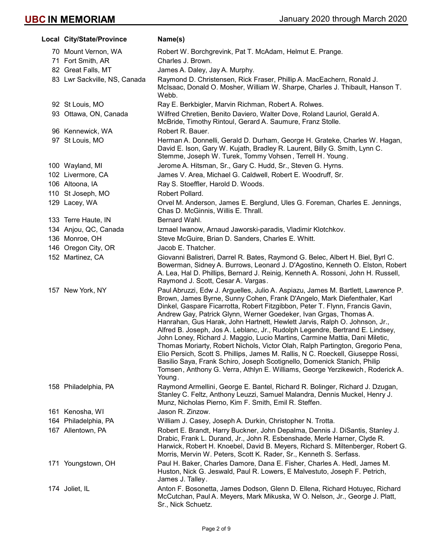| Local City/State/Province    | Name(s)                                                                                                                                                                                                                                                                                                                                                                                                                                                                                                                                                                                                                                                                                                                                                                                                                                                                                                       |
|------------------------------|---------------------------------------------------------------------------------------------------------------------------------------------------------------------------------------------------------------------------------------------------------------------------------------------------------------------------------------------------------------------------------------------------------------------------------------------------------------------------------------------------------------------------------------------------------------------------------------------------------------------------------------------------------------------------------------------------------------------------------------------------------------------------------------------------------------------------------------------------------------------------------------------------------------|
| 70 Mount Vernon, WA          | Robert W. Borchgrevink, Pat T. McAdam, Helmut E. Prange.                                                                                                                                                                                                                                                                                                                                                                                                                                                                                                                                                                                                                                                                                                                                                                                                                                                      |
| 71 Fort Smith, AR            | Charles J. Brown.                                                                                                                                                                                                                                                                                                                                                                                                                                                                                                                                                                                                                                                                                                                                                                                                                                                                                             |
| 82 Great Falls, MT           | James A. Daley, Jay A. Murphy.                                                                                                                                                                                                                                                                                                                                                                                                                                                                                                                                                                                                                                                                                                                                                                                                                                                                                |
| 83 Lwr Sackville, NS, Canada | Raymond D. Christensen, Rick Fraser, Phillip A. MacEachern, Ronald J.<br>McIsaac, Donald O. Mosher, William W. Sharpe, Charles J. Thibault, Hanson T.<br>Webb.                                                                                                                                                                                                                                                                                                                                                                                                                                                                                                                                                                                                                                                                                                                                                |
| 92 St Louis, MO              | Ray E. Berkbigler, Marvin Richman, Robert A. Rolwes.                                                                                                                                                                                                                                                                                                                                                                                                                                                                                                                                                                                                                                                                                                                                                                                                                                                          |
| 93 Ottawa, ON, Canada        | Wilfred Chretien, Benito Daviero, Walter Dove, Roland Lauriol, Gerald A.<br>McBride, Timothy Rintoul, Gerard A. Saumure, Franz Stolle.                                                                                                                                                                                                                                                                                                                                                                                                                                                                                                                                                                                                                                                                                                                                                                        |
| 96 Kennewick, WA             | Robert R. Bauer.                                                                                                                                                                                                                                                                                                                                                                                                                                                                                                                                                                                                                                                                                                                                                                                                                                                                                              |
| 97 St Louis, MO              | Herman A. Donnelli, Gerald D. Durham, George H. Grateke, Charles W. Hagan,<br>David E. Ison, Gary W. Kujath, Bradley R. Laurent, Billy G. Smith, Lynn C.<br>Stemme, Joseph W. Turek, Tommy Vohsen, Terrell H. Young.                                                                                                                                                                                                                                                                                                                                                                                                                                                                                                                                                                                                                                                                                          |
| 100 Wayland, MI              | Jerome A. Hitsman, Sr., Gary C. Hudd, Sr., Steven G. Hyrns.                                                                                                                                                                                                                                                                                                                                                                                                                                                                                                                                                                                                                                                                                                                                                                                                                                                   |
| 102 Livermore, CA            | James V. Area, Michael G. Caldwell, Robert E. Woodruff, Sr.                                                                                                                                                                                                                                                                                                                                                                                                                                                                                                                                                                                                                                                                                                                                                                                                                                                   |
| 106 Altoona, IA              | Ray S. Stoeffler, Harold D. Woods.                                                                                                                                                                                                                                                                                                                                                                                                                                                                                                                                                                                                                                                                                                                                                                                                                                                                            |
| 110 St Joseph, MO            | Robert Pollard.                                                                                                                                                                                                                                                                                                                                                                                                                                                                                                                                                                                                                                                                                                                                                                                                                                                                                               |
| 129 Lacey, WA                | Orvel M. Anderson, James E. Berglund, Ules G. Foreman, Charles E. Jennings,<br>Chas D. McGinnis, Willis E. Thrall.                                                                                                                                                                                                                                                                                                                                                                                                                                                                                                                                                                                                                                                                                                                                                                                            |
| 133 Terre Haute, IN          | Bernard Wahl.                                                                                                                                                                                                                                                                                                                                                                                                                                                                                                                                                                                                                                                                                                                                                                                                                                                                                                 |
| 134 Anjou, QC, Canada        | Izmael Iwanow, Arnaud Jaworski-paradis, Vladimir Klotchkov.                                                                                                                                                                                                                                                                                                                                                                                                                                                                                                                                                                                                                                                                                                                                                                                                                                                   |
| 136 Monroe, OH               | Steve McGuire, Brian D. Sanders, Charles E. Whitt.                                                                                                                                                                                                                                                                                                                                                                                                                                                                                                                                                                                                                                                                                                                                                                                                                                                            |
| 146 Oregon City, OR          | Jacob E. Thatcher.                                                                                                                                                                                                                                                                                                                                                                                                                                                                                                                                                                                                                                                                                                                                                                                                                                                                                            |
| 152 Martinez, CA             | Giovanni Balistreri, Darrel R. Bates, Raymond G. Belec, Albert H. Biel, Byrl C.<br>Bowerman, Sidney A. Burrows, Leonard J. D'Agostino, Kenneth O. Elston, Robert<br>A. Lea, Hal D. Phillips, Bernard J. Reinig, Kenneth A. Rossoni, John H. Russell,<br>Raymond J. Scott, Cesar A. Vargas.                                                                                                                                                                                                                                                                                                                                                                                                                                                                                                                                                                                                                    |
| 157 New York, NY             | Paul Abruzzi, Edw J. Arguelles, Julio A. Aspiazu, James M. Bartlett, Lawrence P.<br>Brown, James Byrne, Sunny Cohen, Frank D'Angelo, Mark Diefenthaler, Karl<br>Dinkel, Gaspare Ficarrotta, Robert Fitzgibbon, Peter T. Flynn, Francis Gavin,<br>Andrew Gay, Patrick Glynn, Werner Goedeker, Ivan Grgas, Thomas A.<br>Hanrahan, Gus Harak, John Hartnett, Hewlett Jarvis, Ralph O. Johnson, Jr.,<br>Alfred B. Joseph, Jos A. Leblanc, Jr., Rudolph Legendre, Bertrand E. Lindsey,<br>John Loney, Richard J. Maggio, Lucio Martins, Carmine Mattia, Dani Miletic,<br>Thomas Moriarty, Robert Nichols, Victor Olah, Ralph Partington, Gregorio Pena,<br>Elio Persich, Scott S. Phillips, James M. Rallis, N C. Roeckell, Giuseppe Rossi,<br>Basilio Saya, Frank Schiro, Joseph Scotignello, Domenick Stanich, Philip<br>Tomsen, Anthony G. Verra, Athlyn E. Williams, George Yerzikewich, Roderick A.<br>Young. |
| 158 Philadelphia, PA         | Raymond Armellini, George E. Bantel, Richard R. Bolinger, Richard J. Dzugan,<br>Stanley C. Feltz, Anthony Leuzzi, Samuel Malandra, Dennis Muckel, Henry J.<br>Munz, Nicholas Pierno, Kim F. Smith, Emil R. Steffen.                                                                                                                                                                                                                                                                                                                                                                                                                                                                                                                                                                                                                                                                                           |
| 161 Kenosha, WI              | Jason R. Zinzow.                                                                                                                                                                                                                                                                                                                                                                                                                                                                                                                                                                                                                                                                                                                                                                                                                                                                                              |
| 164 Philadelphia, PA         | William J. Casey, Joseph A. Durkin, Christopher N. Trotta.                                                                                                                                                                                                                                                                                                                                                                                                                                                                                                                                                                                                                                                                                                                                                                                                                                                    |
| 167 Allentown, PA            | Robert E. Brandt, Harry Buckner, John Depalma, Dennis J. DiSantis, Stanley J.<br>Drabic, Frank L. Durand, Jr., John R. Esbenshade, Merle Harner, Clyde R.<br>Harwick, Robert H. Knoebel, David B. Meyers, Richard S. Miltenberger, Robert G.<br>Morris, Mervin W. Peters, Scott K. Rader, Sr., Kenneth S. Serfass.                                                                                                                                                                                                                                                                                                                                                                                                                                                                                                                                                                                            |
| 171 Youngstown, OH           | Paul H. Baker, Charles Damore, Dana E. Fisher, Charles A. Hedl, James M.<br>Huston, Nick G. Jeswald, Paul R. Lowers, E Malvestuto, Joseph F. Petrich,<br>James J. Talley.                                                                                                                                                                                                                                                                                                                                                                                                                                                                                                                                                                                                                                                                                                                                     |
| 174 Joliet, IL               | Anton F. Bosonetta, James Dodson, Glenn D. Ellena, Richard Hotuyec, Richard<br>McCutchan, Paul A. Meyers, Mark Mikuska, W O. Nelson, Jr., George J. Platt,<br>Sr., Nick Schuetz.                                                                                                                                                                                                                                                                                                                                                                                                                                                                                                                                                                                                                                                                                                                              |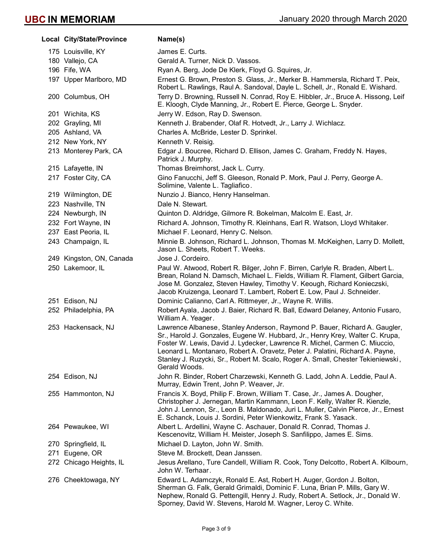| Local City/State/Province | Name(s)                                                                                                                                                                                                                                                                                                                                                                                                                        |
|---------------------------|--------------------------------------------------------------------------------------------------------------------------------------------------------------------------------------------------------------------------------------------------------------------------------------------------------------------------------------------------------------------------------------------------------------------------------|
| 175 Louisville, KY        | James E. Curts.                                                                                                                                                                                                                                                                                                                                                                                                                |
| 180 Vallejo, CA           | Gerald A. Turner, Nick D. Vassos.                                                                                                                                                                                                                                                                                                                                                                                              |
| 196 Fife, WA              | Ryan A. Berg, Jode De Klerk, Floyd G. Squires, Jr.                                                                                                                                                                                                                                                                                                                                                                             |
| 197 Upper Marlboro, MD    | Ernest G. Brown, Preston S. Glass, Jr., Merker B. Hammersla, Richard T. Peix,<br>Robert L. Rawlings, Raul A. Sandoval, Dayle L. Schell, Jr., Ronald E. Wishard.                                                                                                                                                                                                                                                                |
| 200 Columbus, OH          | Terry D. Browning, Russell N. Conrad, Roy E. Hibbler, Jr., Bruce A. Hissong, Leif<br>E. Kloogh, Clyde Manning, Jr., Robert E. Pierce, George L. Snyder.                                                                                                                                                                                                                                                                        |
| 201 Wichita, KS           | Jerry W. Edson, Ray D. Swenson.                                                                                                                                                                                                                                                                                                                                                                                                |
| 202 Grayling, MI          | Kenneth J. Brabender, Olaf R. Hotvedt, Jr., Larry J. Wichlacz.                                                                                                                                                                                                                                                                                                                                                                 |
| 205 Ashland, VA           | Charles A. McBride, Lester D. Sprinkel.                                                                                                                                                                                                                                                                                                                                                                                        |
| 212 New York, NY          | Kenneth V. Reisig.                                                                                                                                                                                                                                                                                                                                                                                                             |
| 213 Monterey Park, CA     | Edgar J. Boucree, Richard D. Ellison, James C. Graham, Freddy N. Hayes,<br>Patrick J. Murphy.                                                                                                                                                                                                                                                                                                                                  |
| 215 Lafayette, IN         | Thomas Breimhorst, Jack L. Curry.                                                                                                                                                                                                                                                                                                                                                                                              |
| 217 Foster City, CA       | Gino Fanucchi, Jeff S. Gleeson, Ronald P. Mork, Paul J. Perry, George A.<br>Solimine, Valente L. Tagliafico.                                                                                                                                                                                                                                                                                                                   |
| 219 Wilmington, DE        | Nunzio J. Bianco, Henry Hanselman.                                                                                                                                                                                                                                                                                                                                                                                             |
| 223 Nashville, TN         | Dale N. Stewart.                                                                                                                                                                                                                                                                                                                                                                                                               |
| 224 Newburgh, IN          | Quinton D. Aldridge, Gilmore R. Bokelman, Malcolm E. East, Jr.                                                                                                                                                                                                                                                                                                                                                                 |
| 232 Fort Wayne, IN        | Richard A. Johnson, Timothy R. Kleinhans, Earl R. Watson, Lloyd Whitaker.                                                                                                                                                                                                                                                                                                                                                      |
| 237 East Peoria, IL       | Michael F. Leonard, Henry C. Nelson.                                                                                                                                                                                                                                                                                                                                                                                           |
| 243 Champaign, IL         | Minnie B. Johnson, Richard L. Johnson, Thomas M. McKeighen, Larry D. Mollett,<br>Jason L. Sheets, Robert T. Weeks.                                                                                                                                                                                                                                                                                                             |
| 249 Kingston, ON, Canada  | Jose J. Cordeiro.                                                                                                                                                                                                                                                                                                                                                                                                              |
| 250 Lakemoor, IL          | Paul W. Atwood, Robert R. Bilger, John F. Birren, Carlyle R. Braden, Albert L.<br>Brean, Roland N. Damsch, Michael L. Fields, William R. Flament, Gilbert Garcia,<br>Jose M. Gonzalez, Steven Hawley, Timothy V. Keough, Richard Konieczski,<br>Jacob Kruizenga, Leonard T. Lambert, Robert E. Low, Paul J. Schneider.                                                                                                         |
| 251 Edison, NJ            | Dominic Calianno, Carl A. Rittmeyer, Jr., Wayne R. Willis.                                                                                                                                                                                                                                                                                                                                                                     |
| 252 Philadelphia, PA      | Robert Ayala, Jacob J. Baier, Richard R. Ball, Edward Delaney, Antonio Fusaro,<br>William A. Yeager.                                                                                                                                                                                                                                                                                                                           |
| 253 Hackensack, NJ        | Lawrence Albanese, Stanley Anderson, Raymond P. Bauer, Richard A. Gaugler,<br>Sr., Harold J. Gonzales, Eugene W. Hubbard, Jr., Henry Krey, Walter C. Krupa,<br>Foster W. Lewis, David J. Lydecker, Lawrence R. Michel, Carmen C. Miuccio,<br>Leonard L. Montanaro, Robert A. Oravetz, Peter J. Palatini, Richard A. Payne,<br>Stanley J. Ruzycki, Sr., Robert M. Scalo, Roger A. Small, Chester Tekieniewski,<br>Gerald Woods. |
| 254 Edison, NJ            | John R. Binder, Robert Charzewski, Kenneth G. Ladd, John A. Leddie, Paul A.<br>Murray, Edwin Trent, John P. Weaver, Jr.                                                                                                                                                                                                                                                                                                        |
| 255 Hammonton, NJ         | Francis X. Boyd, Philip F. Brown, William T. Case, Jr., James A. Dougher,<br>Christopher J. Jernegan, Martin Kammann, Leon F. Kelly, Walter R. Kienzle,<br>John J. Lennon, Sr., Leon B. Maldonado, Juri L. Muller, Calvin Pierce, Jr., Ernest<br>E. Schanck, Louis J. Sordini, Peter Wienkowitz, Frank S. Yasack.                                                                                                              |
| 264 Pewaukee, WI          | Albert L. Ardellini, Wayne C. Aschauer, Donald R. Conrad, Thomas J.<br>Kescenovitz, William H. Meister, Joseph S. Sanfilippo, James E. Sims.                                                                                                                                                                                                                                                                                   |
| 270 Springfield, IL       | Michael D. Layton, John W. Smith.                                                                                                                                                                                                                                                                                                                                                                                              |
| 271 Eugene, OR            | Steve M. Brockett, Dean Janssen.                                                                                                                                                                                                                                                                                                                                                                                               |
| 272 Chicago Heights, IL   | Jesus Arellano, Ture Candell, William R. Cook, Tony Delcotto, Robert A. Kilbourn,<br>John W. Terhaar.                                                                                                                                                                                                                                                                                                                          |
| 276 Cheektowaga, NY       | Edward L. Adamczyk, Ronald E. Ast, Robert H. Auger, Gordon J. Bolton,<br>Sherman G. Falk, Gerald Grimaldi, Dominic F. Luna, Brian P. Mills, Gary W.<br>Nephew, Ronald G. Pettengill, Henry J. Rudy, Robert A. Setlock, Jr., Donald W.<br>Sporney, David W. Stevens, Harold M. Wagner, Leroy C. White.                                                                                                                          |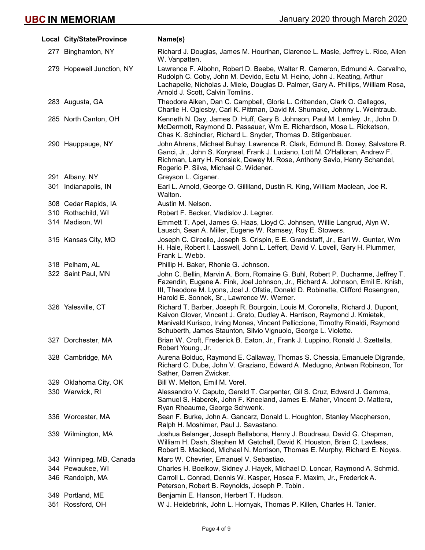| Local City/State/Province | Name(s)                                                                                                                                                                                                                                                                                                       |
|---------------------------|---------------------------------------------------------------------------------------------------------------------------------------------------------------------------------------------------------------------------------------------------------------------------------------------------------------|
| 277 Binghamton, NY        | Richard J. Douglas, James M. Hourihan, Clarence L. Masle, Jeffrey L. Rice, Allen<br>W. Vanpatten.                                                                                                                                                                                                             |
| 279 Hopewell Junction, NY | Lawrence F. Albohn, Robert D. Beebe, Walter R. Cameron, Edmund A. Carvalho,<br>Rudolph C. Coby, John M. Devido, Eetu M. Heino, John J. Keating, Arthur<br>Lachapelle, Nicholas J. Miele, Douglas D. Palmer, Gary A. Phillips, William Rosa,<br>Arnold J. Scott, Calvin Tomlins.                               |
| 283 Augusta, GA           | Theodore Aiken, Dan C. Campbell, Gloria L. Crittenden, Clark O. Gallegos,<br>Charlie H. Oglesby, Carl K. Pittman, David M. Shumake, Johnny L. Weintraub.                                                                                                                                                      |
| 285 North Canton, OH      | Kenneth N. Day, James D. Huff, Gary B. Johnson, Paul M. Lemley, Jr., John D.<br>McDermott, Raymond D. Passauer, Wm E. Richardson, Mose L. Ricketson,<br>Chas K. Schindler, Richard L. Snyder, Thomas D. Stilgenbauer.                                                                                         |
| 290 Hauppauge, NY         | John Ahrens, Michael Buhay, Lawrence R. Clark, Edmund B. Doxey, Salvatore R.<br>Ganci, Jr., John S. Korynsel, Frank J. Luciano, Lott M. O'Halloran, Andrew F.<br>Richman, Larry H. Ronsiek, Dewey M. Rose, Anthony Savio, Henry Schandel,<br>Rogerio P. Silva, Michael C. Widener.                            |
| 291 Albany, NY            | Greyson L. Ciganer.                                                                                                                                                                                                                                                                                           |
| 301 Indianapolis, IN      | Earl L. Arnold, George O. Gilliland, Dustin R. King, William Maclean, Joe R.<br>Walton.                                                                                                                                                                                                                       |
| 308 Cedar Rapids, IA      | Austin M. Nelson.                                                                                                                                                                                                                                                                                             |
| 310 Rothschild, WI        | Robert F. Becker, Vladislov J. Legner.                                                                                                                                                                                                                                                                        |
| 314 Madison, WI           | Emmett T. Apel, James G. Haas, Lloyd C. Johnsen, Willie Langrud, Alyn W.<br>Lausch, Sean A. Miller, Eugene W. Ramsey, Roy E. Stowers.                                                                                                                                                                         |
| 315 Kansas City, MO       | Joseph C. Circello, Joseph S. Crispin, E E. Grandstaff, Jr., Earl W. Gunter, Wm<br>H. Hale, Robert I. Lasswell, John L. Leffert, David V. Lovell, Gary H. Plummer,<br>Frank L. Webb.                                                                                                                          |
| 318 Pelham, AL            | Phillip H. Baker, Rhonie G. Johnson.                                                                                                                                                                                                                                                                          |
| 322 Saint Paul, MN        | John C. Bellin, Marvin A. Born, Romaine G. Buhl, Robert P. Ducharme, Jeffrey T.<br>Fazendin, Eugene A. Fink, Joel Johnson, Jr., Richard A. Johnson, Emil E. Knish,<br>III, Theodore M. Lyons, Joel J. Ofstie, Donald D. Robinette, Clifford Rosengren,<br>Harold E. Sonnek, Sr., Lawrence W. Werner.          |
| 326 Yalesville, CT        | Richard T. Barber, Joseph R. Bourgoin, Louis M. Coronella, Richard J. Dupont,<br>Kaivon Glover, Vincent J. Greto, Dudley A. Harrison, Raymond J. Kmietek,<br>Manivald Kurisoo, Irving Mones, Vincent Pelliccione, Timothy Rinaldi, Raymond<br>Schuberth, James Staunton, Silvio Vignuolo, George L. Violette. |
| 327 Dorchester, MA        | Brian W. Croft, Frederick B. Eaton, Jr., Frank J. Luppino, Ronald J. Szettella,<br>Robert Young, Jr.                                                                                                                                                                                                          |
| 328 Cambridge, MA         | Aurena Bolduc, Raymond E. Callaway, Thomas S. Chessia, Emanuele Digrande,<br>Richard C. Dube, John V. Graziano, Edward A. Medugno, Antwan Robinson, Tor<br>Sather, Darren Zwicker.                                                                                                                            |
| 329 Oklahoma City, OK     | Bill W. Melton, Emil M. Vorel.                                                                                                                                                                                                                                                                                |
| 330 Warwick, RI           | Alessandro V. Caputo, Gerald T. Carpenter, Gil S. Cruz, Edward J. Gemma,<br>Samuel S. Haberek, John F. Kneeland, James E. Maher, Vincent D. Mattera,<br>Ryan Rheaume, George Schwenk.                                                                                                                         |
| 336 Worcester, MA         | Sean F. Burke, John A. Gancarz, Donald L. Houghton, Stanley Macpherson,<br>Ralph H. Moshimer, Paul J. Savastano.                                                                                                                                                                                              |
| 339 Wilmington, MA        | Joshua Belanger, Joseph Bellabona, Henry J. Boudreau, David G. Chapman,<br>William H. Dash, Stephen M. Getchell, David K. Houston, Brian C. Lawless,<br>Robert B. Macleod, Michael N. Morrison, Thomas E. Murphy, Richard E. Noyes.                                                                           |
| 343 Winnipeg, MB, Canada  | Marc W. Chevrier, Emanuel V. Sebastiao.                                                                                                                                                                                                                                                                       |
| 344 Pewaukee, WI          | Charles H. Boelkow, Sidney J. Hayek, Michael D. Loncar, Raymond A. Schmid.                                                                                                                                                                                                                                    |
| 346 Randolph, MA          | Carroll L. Conrad, Dennis W. Kasper, Hosea F. Maxim, Jr., Frederick A.<br>Peterson, Robert B. Reynolds, Joseph P. Tobin.                                                                                                                                                                                      |
| 349 Portland, ME          | Benjamin E. Hanson, Herbert T. Hudson.                                                                                                                                                                                                                                                                        |
| 351 Rossford, OH          | W J. Heidebrink, John L. Hornyak, Thomas P. Killen, Charles H. Tanier.                                                                                                                                                                                                                                        |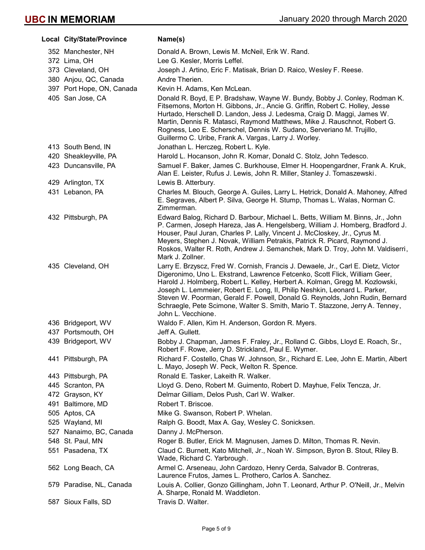|     | Local City/State/Province | Name(s)                                                                                                                                                                                                                                                                                                                                                                                                                                                                                                              |
|-----|---------------------------|----------------------------------------------------------------------------------------------------------------------------------------------------------------------------------------------------------------------------------------------------------------------------------------------------------------------------------------------------------------------------------------------------------------------------------------------------------------------------------------------------------------------|
|     | 352 Manchester, NH        | Donald A. Brown, Lewis M. McNeil, Erik W. Rand.                                                                                                                                                                                                                                                                                                                                                                                                                                                                      |
|     | 372 Lima, OH              | Lee G. Kesler, Morris Leffel.                                                                                                                                                                                                                                                                                                                                                                                                                                                                                        |
|     | 373 Cleveland, OH         | Joseph J. Artino, Eric F. Matisak, Brian D. Raico, Wesley F. Reese.                                                                                                                                                                                                                                                                                                                                                                                                                                                  |
|     | 380 Anjou, QC, Canada     | Andre Therien.                                                                                                                                                                                                                                                                                                                                                                                                                                                                                                       |
|     | 397 Port Hope, ON, Canada | Kevin H. Adams, Ken McLean.                                                                                                                                                                                                                                                                                                                                                                                                                                                                                          |
|     | 405 San Jose, CA          | Donald R. Boyd, E P. Bradshaw, Wayne W. Bundy, Bobby J. Conley, Rodman K.<br>Fitsemons, Morton H. Gibbons, Jr., Ancie G. Griffin, Robert C. Holley, Jesse<br>Hurtado, Herschell D. Landon, Jess J. Ledesma, Craig D. Maggi, James W.<br>Martin, Dennis R. Matasci, Raymond Matthews, Mike J. Rauschnot, Robert G.<br>Rogness, Leo E. Scherschel, Dennis W. Sudano, Serveriano M. Trujillo,<br>Guillermo C. Uribe, Frank A. Vargas, Larry J. Worley.                                                                  |
|     | 413 South Bend, IN        | Jonathan L. Herczeg, Robert L. Kyle.                                                                                                                                                                                                                                                                                                                                                                                                                                                                                 |
|     | 420 Sheakleyville, PA     | Harold L. Hocanson, John R. Komar, Donald C. Stolz, John Tedesco.                                                                                                                                                                                                                                                                                                                                                                                                                                                    |
|     | 423 Duncansville, PA      | Samuel F. Baker, James C. Burkhouse, Elmer H. Hoopengardner, Frank A. Kruk,<br>Alan E. Leister, Rufus J. Lewis, John R. Miller, Stanley J. Tomaszewski.                                                                                                                                                                                                                                                                                                                                                              |
|     | 429 Arlington, TX         | Lewis B. Atterbury.                                                                                                                                                                                                                                                                                                                                                                                                                                                                                                  |
|     | 431 Lebanon, PA           | Charles M. Blouch, George A. Guiles, Larry L. Hetrick, Donald A. Mahoney, Alfred<br>E. Segraves, Albert P. Silva, George H. Stump, Thomas L. Walas, Norman C.<br>Zimmerman.                                                                                                                                                                                                                                                                                                                                          |
|     | 432 Pittsburgh, PA        | Edward Balog, Richard D. Barbour, Michael L. Betts, William M. Binns, Jr., John<br>P. Carmen, Joseph Hareza, Jas A. Hengelsberg, William J. Homberg, Bradford J.<br>Houser, Paul Juran, Charles P. Lally, Vincent J. McCloskey, Jr., Cyrus M.<br>Meyers, Stephen J. Novak, William Petrakis, Patrick R. Picard, Raymond J.<br>Roskos, Walter R. Roth, Andrew J. Semanchek, Mark D. Troy, John M. Valdiserri,<br>Mark J. Zollner.                                                                                     |
|     | 435 Cleveland, OH         | Larry E. Brzyscz, Fred W. Cornish, Francis J. Dewaele, Jr., Carl E. Dietz, Victor<br>Digeronimo, Uno L. Ekstrand, Lawrence Fetcenko, Scott Flick, William Geer,<br>Harold J. Holmberg, Robert L. Kelley, Herbert A. Kolman, Gregg M. Kozlowski,<br>Joseph L. Lemmeier, Robert E. Long, II, Philip Neshkin, Leonard L. Parker,<br>Steven W. Poorman, Gerald F. Powell, Donald G. Reynolds, John Rudin, Bernard<br>Schraegle, Pete Scimone, Walter S. Smith, Mario T. Stazzone, Jerry A. Tenney,<br>John L. Vecchione. |
|     | 436 Bridgeport, WV        | Waldo F. Allen, Kim H. Anderson, Gordon R. Myers.                                                                                                                                                                                                                                                                                                                                                                                                                                                                    |
|     | 437 Portsmouth, OH        | Jeff A. Gullett.                                                                                                                                                                                                                                                                                                                                                                                                                                                                                                     |
|     | 439 Bridgeport, WV        | Bobby J. Chapman, James F. Fraley, Jr., Rolland C. Gibbs, Lloyd E. Roach, Sr.,<br>Robert F. Rowe, Jerry D. Strickland, Paul E. Wymer.                                                                                                                                                                                                                                                                                                                                                                                |
|     | 441 Pittsburgh, PA        | Richard F. Costello, Chas W. Johnson, Sr., Richard E. Lee, John E. Martin, Albert<br>L. Mayo, Joseph W. Peck, Welton R. Spence.                                                                                                                                                                                                                                                                                                                                                                                      |
|     | 443 Pittsburgh, PA        | Ronald E. Tasker, Lakeith R. Walker.                                                                                                                                                                                                                                                                                                                                                                                                                                                                                 |
|     | 445 Scranton, PA          | Lloyd G. Deno, Robert M. Guimento, Robert D. Mayhue, Felix Tencza, Jr.                                                                                                                                                                                                                                                                                                                                                                                                                                               |
|     | 472 Grayson, KY           | Delmar Gilliam, Delos Push, Carl W. Walker.                                                                                                                                                                                                                                                                                                                                                                                                                                                                          |
| 491 | Baltimore, MD             | Robert T. Briscoe.                                                                                                                                                                                                                                                                                                                                                                                                                                                                                                   |
|     | 505 Aptos, CA             | Mike G. Swanson, Robert P. Whelan.                                                                                                                                                                                                                                                                                                                                                                                                                                                                                   |
|     | 525 Wayland, MI           | Ralph G. Boodt, Max A. Gay, Wesley C. Sonicksen.                                                                                                                                                                                                                                                                                                                                                                                                                                                                     |
|     | 527 Nanaimo, BC, Canada   | Danny J. McPherson.                                                                                                                                                                                                                                                                                                                                                                                                                                                                                                  |
|     | 548 St. Paul, MN          | Roger B. Butler, Erick M. Magnusen, James D. Milton, Thomas R. Nevin.                                                                                                                                                                                                                                                                                                                                                                                                                                                |
|     | 551 Pasadena, TX          | Claud C. Burnett, Kato Mitchell, Jr., Noah W. Simpson, Byron B. Stout, Riley B.<br>Wade, Richard C. Yarbrough.                                                                                                                                                                                                                                                                                                                                                                                                       |
|     | 562 Long Beach, CA        | Armel C. Arseneau, John Cardozo, Henry Cerda, Salvador B. Contreras,<br>Laurence Frutos, James L. Prothero, Carlos A. Sanchez.                                                                                                                                                                                                                                                                                                                                                                                       |
|     | 579 Paradise, NL, Canada  | Louis A. Collier, Gonzo Gillingham, John T. Leonard, Arthur P. O'Neill, Jr., Melvin<br>A. Sharpe, Ronald M. Waddleton.                                                                                                                                                                                                                                                                                                                                                                                               |
|     | 587 Sioux Falls, SD       | Travis D. Walter.                                                                                                                                                                                                                                                                                                                                                                                                                                                                                                    |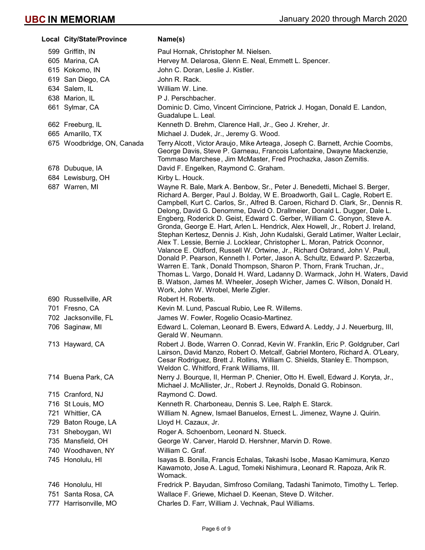| Local City/State/Province  | Name(s)                                                                                                                                                                                                                                                                                                                                                                                                                                                                                                                                                                                                                                                                                                                                                                                                                                                                                                                                                                                                                                                                                             |
|----------------------------|-----------------------------------------------------------------------------------------------------------------------------------------------------------------------------------------------------------------------------------------------------------------------------------------------------------------------------------------------------------------------------------------------------------------------------------------------------------------------------------------------------------------------------------------------------------------------------------------------------------------------------------------------------------------------------------------------------------------------------------------------------------------------------------------------------------------------------------------------------------------------------------------------------------------------------------------------------------------------------------------------------------------------------------------------------------------------------------------------------|
| 599 Griffith, IN           | Paul Hornak, Christopher M. Nielsen.                                                                                                                                                                                                                                                                                                                                                                                                                                                                                                                                                                                                                                                                                                                                                                                                                                                                                                                                                                                                                                                                |
| 605 Marina, CA             | Hervey M. Delarosa, Glenn E. Neal, Emmett L. Spencer.                                                                                                                                                                                                                                                                                                                                                                                                                                                                                                                                                                                                                                                                                                                                                                                                                                                                                                                                                                                                                                               |
| 615 Kokomo, IN             | John C. Doran, Leslie J. Kistler.                                                                                                                                                                                                                                                                                                                                                                                                                                                                                                                                                                                                                                                                                                                                                                                                                                                                                                                                                                                                                                                                   |
| 619 San Diego, CA          | John R. Rack.                                                                                                                                                                                                                                                                                                                                                                                                                                                                                                                                                                                                                                                                                                                                                                                                                                                                                                                                                                                                                                                                                       |
| 634 Salem, IL              | William W. Line.                                                                                                                                                                                                                                                                                                                                                                                                                                                                                                                                                                                                                                                                                                                                                                                                                                                                                                                                                                                                                                                                                    |
| 638 Marion, IL             | P J. Perschbacher.                                                                                                                                                                                                                                                                                                                                                                                                                                                                                                                                                                                                                                                                                                                                                                                                                                                                                                                                                                                                                                                                                  |
| 661 Sylmar, CA             | Dominic D. Cimo, Vincent Cirrincione, Patrick J. Hogan, Donald E. Landon,<br>Guadalupe L. Leal.                                                                                                                                                                                                                                                                                                                                                                                                                                                                                                                                                                                                                                                                                                                                                                                                                                                                                                                                                                                                     |
| 662 Freeburg, IL           | Kenneth D. Brehm, Clarence Hall, Jr., Geo J. Kreher, Jr.                                                                                                                                                                                                                                                                                                                                                                                                                                                                                                                                                                                                                                                                                                                                                                                                                                                                                                                                                                                                                                            |
| 665 Amarillo, TX           | Michael J. Dudek, Jr., Jeremy G. Wood.                                                                                                                                                                                                                                                                                                                                                                                                                                                                                                                                                                                                                                                                                                                                                                                                                                                                                                                                                                                                                                                              |
| 675 Woodbridge, ON, Canada | Terry Alcott, Victor Araujo, Mike Arteaga, Joseph C. Barnett, Archie Coombs,<br>George Davis, Steve P. Garneau, Francois Lafontaine, Dwayne Mackenzie,<br>Tommaso Marchese, Jim McMaster, Fred Prochazka, Jason Zemitis.                                                                                                                                                                                                                                                                                                                                                                                                                                                                                                                                                                                                                                                                                                                                                                                                                                                                            |
| 678 Dubuque, IA            | David F. Engelken, Raymond C. Graham.                                                                                                                                                                                                                                                                                                                                                                                                                                                                                                                                                                                                                                                                                                                                                                                                                                                                                                                                                                                                                                                               |
| 684 Lewisburg, OH          | Kirby L. Houck.                                                                                                                                                                                                                                                                                                                                                                                                                                                                                                                                                                                                                                                                                                                                                                                                                                                                                                                                                                                                                                                                                     |
| 687 Warren, MI             | Wayne R. Bale, Mark A. Benbow, Sr., Peter J. Benedetti, Michael S. Berger,<br>Richard A. Berger, Paul J. Bolday, W E. Broadworth, Gail L. Cagle, Robert E.<br>Campbell, Kurt C. Carlos, Sr., Alfred B. Caroen, Richard D. Clark, Sr., Dennis R.<br>Delong, David G. Denomme, David O. Drallmeier, Donald L. Dugger, Dale L.<br>Engberg, Roderick D. Geist, Edward C. Gerber, William C. Gonyon, Steve A.<br>Gronda, George E. Hart, Arlen L. Hendrick, Alex Howell, Jr., Robert J. Ireland,<br>Stephan Kertesz, Dennis J. Kish, John Kudalski, Gerald Latimer, Walter Leclair,<br>Alex T. Lessie, Bernie J. Locklear, Christopher L. Moran, Patrick Oconnor,<br>Valance E. Oldford, Russell W. Ortwine, Jr., Richard Ostrand, John V. Paull,<br>Donald P. Pearson, Kenneth I. Porter, Jason A. Schultz, Edward P. Szczerba,<br>Warren E. Tank, Donald Thompson, Sharon P. Thorn, Frank Truchan, Jr.,<br>Thomas L. Vargo, Donald H. Ward, Ladanny D. Warmack, John H. Waters, David<br>B. Watson, James M. Wheeler, Joseph Wicher, James C. Wilson, Donald H.<br>Work, John W. Wrobel, Merle Zigler. |
| 690 Russellville, AR       | Robert H. Roberts.                                                                                                                                                                                                                                                                                                                                                                                                                                                                                                                                                                                                                                                                                                                                                                                                                                                                                                                                                                                                                                                                                  |
| 701 Fresno, CA             | Kevin M. Lund, Pascual Rubio, Lee R. Willems.                                                                                                                                                                                                                                                                                                                                                                                                                                                                                                                                                                                                                                                                                                                                                                                                                                                                                                                                                                                                                                                       |
| 702 Jacksonville, FL       | James W. Fowler, Rogelio Ocasio-Martinez.                                                                                                                                                                                                                                                                                                                                                                                                                                                                                                                                                                                                                                                                                                                                                                                                                                                                                                                                                                                                                                                           |
| 706 Saginaw, MI            | Edward L. Coleman, Leonard B. Ewers, Edward A. Leddy, J J. Neuerburg, III,<br>Gerald W. Neumann.                                                                                                                                                                                                                                                                                                                                                                                                                                                                                                                                                                                                                                                                                                                                                                                                                                                                                                                                                                                                    |
| 713 Hayward, CA            | Robert J. Bode, Warren O. Conrad, Kevin W. Franklin, Eric P. Goldgruber, Carl<br>Lairson, David Manzo, Robert O. Metcalf, Gabriel Montero, Richard A. O'Leary,<br>Cesar Rodriguez, Brett J. Rollins, William C. Shields, Stanley E. Thompson,<br>Weldon C. Whitford, Frank Williams, III.                                                                                                                                                                                                                                                                                                                                                                                                                                                                                                                                                                                                                                                                                                                                                                                                           |
| 714 Buena Park, CA         | Nerry J. Bourque, II, Herman P. Chenier, Otto H. Ewell, Edward J. Koryta, Jr.,<br>Michael J. McAllister, Jr., Robert J. Reynolds, Donald G. Robinson.                                                                                                                                                                                                                                                                                                                                                                                                                                                                                                                                                                                                                                                                                                                                                                                                                                                                                                                                               |
| 715 Cranford, NJ           | Raymond C. Dowd.                                                                                                                                                                                                                                                                                                                                                                                                                                                                                                                                                                                                                                                                                                                                                                                                                                                                                                                                                                                                                                                                                    |
| 716 St Louis, MO           | Kenneth R. Charboneau, Dennis S. Lee, Ralph E. Starck.                                                                                                                                                                                                                                                                                                                                                                                                                                                                                                                                                                                                                                                                                                                                                                                                                                                                                                                                                                                                                                              |
| 721 Whittier, CA           | William N. Agnew, Ismael Banuelos, Ernest L. Jimenez, Wayne J. Quirin.                                                                                                                                                                                                                                                                                                                                                                                                                                                                                                                                                                                                                                                                                                                                                                                                                                                                                                                                                                                                                              |
| 729 Baton Rouge, LA        | Lloyd H. Cazaux, Jr.                                                                                                                                                                                                                                                                                                                                                                                                                                                                                                                                                                                                                                                                                                                                                                                                                                                                                                                                                                                                                                                                                |
| 731 Sheboygan, WI          | Roger A. Schoenborn, Leonard N. Stueck.                                                                                                                                                                                                                                                                                                                                                                                                                                                                                                                                                                                                                                                                                                                                                                                                                                                                                                                                                                                                                                                             |
| 735 Mansfield, OH          | George W. Carver, Harold D. Hershner, Marvin D. Rowe.                                                                                                                                                                                                                                                                                                                                                                                                                                                                                                                                                                                                                                                                                                                                                                                                                                                                                                                                                                                                                                               |
| 740 Woodhaven, NY          | William C. Graf.                                                                                                                                                                                                                                                                                                                                                                                                                                                                                                                                                                                                                                                                                                                                                                                                                                                                                                                                                                                                                                                                                    |
| 745 Honolulu, HI           | Isayas B. Bonilla, Francis Echalas, Takashi Isobe, Masao Kamimura, Kenzo<br>Kawamoto, Jose A. Lagud, Tomeki Nishimura, Leonard R. Rapoza, Arik R.<br>Womack.                                                                                                                                                                                                                                                                                                                                                                                                                                                                                                                                                                                                                                                                                                                                                                                                                                                                                                                                        |
| 746 Honolulu, HI           | Fredrick P. Bayudan, Simfroso Comilang, Tadashi Tanimoto, Timothy L. Terlep.                                                                                                                                                                                                                                                                                                                                                                                                                                                                                                                                                                                                                                                                                                                                                                                                                                                                                                                                                                                                                        |
| 751 Santa Rosa, CA         | Wallace F. Griewe, Michael D. Keenan, Steve D. Witcher.                                                                                                                                                                                                                                                                                                                                                                                                                                                                                                                                                                                                                                                                                                                                                                                                                                                                                                                                                                                                                                             |
| 777 Harrisonville, MO      | Charles D. Farr, William J. Vechnak, Paul Williams.                                                                                                                                                                                                                                                                                                                                                                                                                                                                                                                                                                                                                                                                                                                                                                                                                                                                                                                                                                                                                                                 |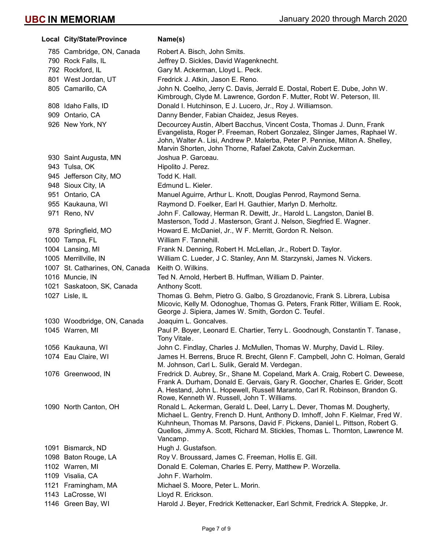| <b>Local City/State/Province</b> | Name(s)                                                                                                                                                                                                                                                                                                                                |
|----------------------------------|----------------------------------------------------------------------------------------------------------------------------------------------------------------------------------------------------------------------------------------------------------------------------------------------------------------------------------------|
| 785 Cambridge, ON, Canada        | Robert A. Bisch, John Smits.                                                                                                                                                                                                                                                                                                           |
| 790 Rock Falls, IL               | Jeffrey D. Sickles, David Wagenknecht.                                                                                                                                                                                                                                                                                                 |
| 792 Rockford, IL                 | Gary M. Ackerman, Lloyd L. Peck.                                                                                                                                                                                                                                                                                                       |
| 801 West Jordan, UT              | Fredrick J. Atkin, Jason E. Reno.                                                                                                                                                                                                                                                                                                      |
| 805 Camarillo, CA                | John N. Coelho, Jerry C. Davis, Jerrald E. Dostal, Robert E. Dube, John W.                                                                                                                                                                                                                                                             |
|                                  | Kimbrough, Clyde M. Lawrence, Gordon F. Mutter, Robt W. Peterson, III.                                                                                                                                                                                                                                                                 |
| 808 Idaho Falls, ID              | Donald I. Hutchinson, E J. Lucero, Jr., Roy J. Williamson.                                                                                                                                                                                                                                                                             |
| 909 Ontario, CA                  | Danny Bender, Fabian Chaidez, Jesus Reyes.                                                                                                                                                                                                                                                                                             |
| 926 New York, NY                 | Decourcey Austin, Albert Bacchus, Vincent Costa, Thomas J. Dunn, Frank<br>Evangelista, Roger P. Freeman, Robert Gonzalez, Slinger James, Raphael W.<br>John, Walter A. Lisi, Andrew P. Malerba, Peter P. Pennise, Milton A. Shelley,<br>Marvin Shorten, John Thorne, Rafael Zakota, Calvin Zuckerman.                                  |
| 930 Saint Augusta, MN            | Joshua P. Garceau.                                                                                                                                                                                                                                                                                                                     |
| 943 Tulsa, OK                    | Hipolito J. Perez.                                                                                                                                                                                                                                                                                                                     |
| 945 Jefferson City, MO           | Todd K. Hall.                                                                                                                                                                                                                                                                                                                          |
| 948 Sioux City, IA               | Edmund L. Kieler.                                                                                                                                                                                                                                                                                                                      |
| 951 Ontario, CA                  | Manuel Aguirre, Arthur L. Knott, Douglas Penrod, Raymond Serna.                                                                                                                                                                                                                                                                        |
| 955 Kaukauna, WI                 | Raymond D. Foelker, Earl H. Gauthier, Marlyn D. Merholtz.                                                                                                                                                                                                                                                                              |
| 971 Reno, NV                     | John F. Calloway, Herman R. Dewitt, Jr., Harold L. Langston, Daniel B.<br>Masterson, Todd J. Masterson, Grant J. Nelson, Siegfried E. Wagner.                                                                                                                                                                                          |
| 978 Springfield, MO              | Howard E. McDaniel, Jr., W F. Merritt, Gordon R. Nelson.                                                                                                                                                                                                                                                                               |
| 1000 Tampa, FL                   | William F. Tannehill.                                                                                                                                                                                                                                                                                                                  |
| 1004 Lansing, MI                 | Frank N. Denning, Robert H. McLellan, Jr., Robert D. Taylor.                                                                                                                                                                                                                                                                           |
| 1005 Merrillville, IN            | William C. Lueder, J C. Stanley, Ann M. Starzynski, James N. Vickers.                                                                                                                                                                                                                                                                  |
| 1007 St. Catharines, ON, Canada  | Keith O. Wilkins.                                                                                                                                                                                                                                                                                                                      |
| 1016 Muncie, IN                  | Ted N. Arnold, Herbert B. Huffman, William D. Painter.                                                                                                                                                                                                                                                                                 |
| 1021 Saskatoon, SK, Canada       | Anthony Scott.                                                                                                                                                                                                                                                                                                                         |
| 1027 Lisle, IL                   | Thomas G. Behm, Pietro G. Galbo, S Grozdanovic, Frank S. Librera, Lubisa<br>Micovic, Kelly M. Odonoghue, Thomas G. Peters, Frank Ritter, William E. Rook,<br>George J. Sipiera, James W. Smith, Gordon C. Teufel.                                                                                                                      |
| 1030 Woodbridge, ON, Canada      | Joaquim L. Goncalves.                                                                                                                                                                                                                                                                                                                  |
| 1045 Warren, MI                  | Paul P. Boyer, Leonard E. Chartier, Terry L. Goodnough, Constantin T. Tanase,<br>Tony Vitale.                                                                                                                                                                                                                                          |
| 1056 Kaukauna, WI                | John C. Findlay, Charles J. McMullen, Thomas W. Murphy, David L. Riley.                                                                                                                                                                                                                                                                |
| 1074 Eau Claire, WI              | James H. Berrens, Bruce R. Brecht, Glenn F. Campbell, John C. Holman, Gerald<br>M. Johnson, Carl L. Sulik, Gerald M. Verdegan.                                                                                                                                                                                                         |
| 1076 Greenwood, IN               | Fredrick D. Aubrey, Sr., Shane M. Copeland, Mark A. Craig, Robert C. Deweese,<br>Frank A. Durham, Donald E. Gervais, Gary R. Goocher, Charles E. Grider, Scott<br>A. Hestand, John L. Hopewell, Russell Maranto, Carl R. Robinson, Brandon G.<br>Rowe, Kenneth W. Russell, John T. Williams.                                           |
| 1090 North Canton, OH            | Ronald L. Ackerman, Gerald L. Deel, Larry L. Dever, Thomas M. Dougherty,<br>Michael L. Gentry, French D. Hunt, Anthony D. Imhoff, John F. Kielmar, Fred W.<br>Kuhnheun, Thomas M. Parsons, David F. Pickens, Daniel L. Pittson, Robert G.<br>Quellos, Jimmy A. Scott, Richard M. Stickles, Thomas L. Thornton, Lawrence M.<br>Vancamp. |
| 1091 Bismarck, ND                | Hugh J. Gustafson.                                                                                                                                                                                                                                                                                                                     |
| 1098 Baton Rouge, LA             | Roy V. Broussard, James C. Freeman, Hollis E. Gill.                                                                                                                                                                                                                                                                                    |
| 1102 Warren, MI                  | Donald E. Coleman, Charles E. Perry, Matthew P. Worzella.                                                                                                                                                                                                                                                                              |
| 1109 Visalia, CA                 | John F. Warholm.                                                                                                                                                                                                                                                                                                                       |
| 1121 Framingham, MA              | Michael S. Moore, Peter L. Morin.                                                                                                                                                                                                                                                                                                      |
| 1143 LaCrosse, WI                | Lloyd R. Erickson.                                                                                                                                                                                                                                                                                                                     |
| 1146 Green Bay, WI               | Harold J. Beyer, Fredrick Kettenacker, Earl Schmit, Fredrick A. Steppke, Jr.                                                                                                                                                                                                                                                           |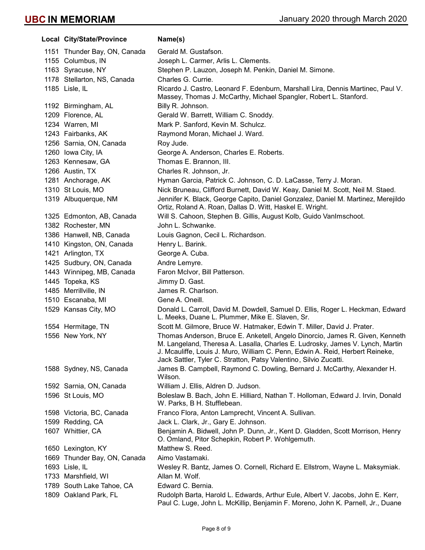|      | Local City/State/Province    | Name(s)                                                                                                                                                                                                                                                                                                             |
|------|------------------------------|---------------------------------------------------------------------------------------------------------------------------------------------------------------------------------------------------------------------------------------------------------------------------------------------------------------------|
|      | 1151 Thunder Bay, ON, Canada | Gerald M. Gustafson.                                                                                                                                                                                                                                                                                                |
|      | 1155 Columbus, IN            | Joseph L. Carmer, Arlis L. Clements.                                                                                                                                                                                                                                                                                |
|      | 1163 Syracuse, NY            | Stephen P. Lauzon, Joseph M. Penkin, Daniel M. Simone.                                                                                                                                                                                                                                                              |
|      | 1178 Stellarton, NS, Canada  | Charles G. Currie.                                                                                                                                                                                                                                                                                                  |
|      | 1185 Lisle, IL               | Ricardo J. Castro, Leonard F. Edenburn, Marshall Lira, Dennis Martinec, Paul V.<br>Massey, Thomas J. McCarthy, Michael Spangler, Robert L. Stanford.                                                                                                                                                                |
|      | 1192 Birmingham, AL          | Billy R. Johnson.                                                                                                                                                                                                                                                                                                   |
|      | 1209 Florence, AL            | Gerald W. Barrett, William C. Snoddy.                                                                                                                                                                                                                                                                               |
|      | 1234 Warren, MI              | Mark P. Sanford, Kevin M. Schulcz.                                                                                                                                                                                                                                                                                  |
|      | 1243 Fairbanks, AK           | Raymond Moran, Michael J. Ward.                                                                                                                                                                                                                                                                                     |
|      | 1256 Sarnia, ON, Canada      | Roy Jude.                                                                                                                                                                                                                                                                                                           |
|      | 1260 Iowa City, IA           | George A. Anderson, Charles E. Roberts.                                                                                                                                                                                                                                                                             |
|      | 1263 Kennesaw, GA            | Thomas E. Brannon, III.                                                                                                                                                                                                                                                                                             |
|      | 1266 Austin, TX              | Charles R. Johnson, Jr.                                                                                                                                                                                                                                                                                             |
|      | 1281 Anchorage, AK           | Hyman Garcia, Patrick C. Johnson, C. D. LaCasse, Terry J. Moran.                                                                                                                                                                                                                                                    |
|      | 1310 St Louis, MO            | Nick Bruneau, Clifford Burnett, David W. Keay, Daniel M. Scott, Neil M. Staed.                                                                                                                                                                                                                                      |
|      | 1319 Albuquerque, NM         | Jennifer K. Black, George Capito, Daniel Gonzalez, Daniel M. Martinez, Merejildo<br>Ortiz, Roland A. Roan, Dallas D. Witt, Haskel E. Wright.                                                                                                                                                                        |
|      | 1325 Edmonton, AB, Canada    | Will S. Cahoon, Stephen B. Gillis, August Kolb, Guido VanImschoot.                                                                                                                                                                                                                                                  |
|      | 1382 Rochester, MN           | John L. Schwanke.                                                                                                                                                                                                                                                                                                   |
|      | 1386 Hanwell, NB, Canada     | Louis Gagnon, Cecil L. Richardson.                                                                                                                                                                                                                                                                                  |
|      | 1410 Kingston, ON, Canada    | Henry L. Barink.                                                                                                                                                                                                                                                                                                    |
|      | 1421 Arlington, TX           | George A. Cuba.                                                                                                                                                                                                                                                                                                     |
|      | 1425 Sudbury, ON, Canada     | Andre Lemyre.                                                                                                                                                                                                                                                                                                       |
|      | 1443 Winnipeg, MB, Canada    | Faron McIvor, Bill Patterson.                                                                                                                                                                                                                                                                                       |
|      | 1445 Topeka, KS              | Jimmy D. Gast.                                                                                                                                                                                                                                                                                                      |
|      | 1485 Merrillville, IN        | James R. Charlson.                                                                                                                                                                                                                                                                                                  |
|      | 1510 Escanaba, MI            | Gene A. Oneill.                                                                                                                                                                                                                                                                                                     |
|      | 1529 Kansas City, MO         | Donald L. Carroll, David M. Dowdell, Samuel D. Ellis, Roger L. Heckman, Edward<br>L. Meeks, Duane L. Plummer, Mike E. Slaven, Sr.                                                                                                                                                                                   |
|      | 1554 Hermitage, TN           | Scott M. Gilmore, Bruce W. Hatmaker, Edwin T. Miller, David J. Prater.                                                                                                                                                                                                                                              |
|      | 1556 New York, NY            | Thomas Anderson, Bruce E. Anketell, Angelo Dinorcio, James R. Given, Kenneth<br>M. Langeland, Theresa A. Lasalla, Charles E. Ludrosky, James V. Lynch, Martin<br>J. Mcauliffe, Louis J. Muro, William C. Penn, Edwin A. Reid, Herbert Reineke,<br>Jack Sattler, Tyler C. Stratton, Patsy Valentino, Silvio Zucatti. |
|      | 1588 Sydney, NS, Canada      | James B. Campbell, Raymond C. Dowling, Bernard J. McCarthy, Alexander H.<br>Wilson.                                                                                                                                                                                                                                 |
|      | 1592 Sarnia, ON, Canada      | William J. Ellis, Aldren D. Judson.                                                                                                                                                                                                                                                                                 |
|      | 1596 St Louis, MO            | Boleslaw B. Bach, John E. Hilliard, Nathan T. Holloman, Edward J. Irvin, Donald<br>W. Parks, B H. Stufflebean.                                                                                                                                                                                                      |
|      | 1598 Victoria, BC, Canada    | Franco Flora, Anton Lamprecht, Vincent A. Sullivan.                                                                                                                                                                                                                                                                 |
|      | 1599 Redding, CA             | Jack L. Clark, Jr., Gary E. Johnson.                                                                                                                                                                                                                                                                                |
|      | 1607 Whittier, CA            | Benjamin A. Bidwell, John P. Dunn, Jr., Kent D. Gladden, Scott Morrison, Henry<br>O. Omland, Pitor Schepkin, Robert P. Wohlgemuth.                                                                                                                                                                                  |
|      | 1650 Lexington, KY           | Matthew S. Reed.                                                                                                                                                                                                                                                                                                    |
| 1669 | Thunder Bay, ON, Canada      | Aimo Vastamaki.                                                                                                                                                                                                                                                                                                     |
|      | 1693 Lisle, IL               | Wesley R. Bantz, James O. Cornell, Richard E. Ellstrom, Wayne L. Maksymiak.                                                                                                                                                                                                                                         |
|      | 1733 Marshfield, WI          | Allan M. Wolf.                                                                                                                                                                                                                                                                                                      |
|      | 1789 South Lake Tahoe, CA    | Edward C. Bernia.                                                                                                                                                                                                                                                                                                   |
|      | 1809 Oakland Park, FL        | Rudolph Barta, Harold L. Edwards, Arthur Eule, Albert V. Jacobs, John E. Kerr,<br>Paul C. Luge, John L. McKillip, Benjamin F. Moreno, John K. Parnell, Jr., Duane                                                                                                                                                   |